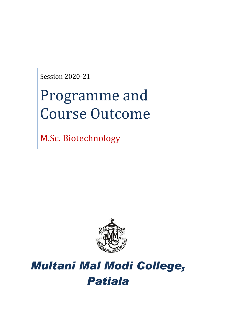Session 2020-21

# Programme and Course Outcome

M.Sc. Biotechnology



## *Multani Mal Modi College, Patiala*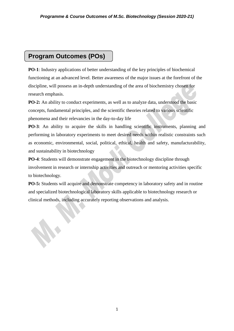### **Program Outcomes (POs)**

**PO-1**: Industry applications of better understanding of the key principles of biochemical functioning at an advanced level. Better awareness of the major issues at the forefront of the discipline, will possess an in-depth understanding of the area of biochemistry chosen for research emphasis.

**PO-2:** An ability to conduct experiments, as well as to analyze data, understood the basic concepts, fundamental principles, and the scientific theories related to various scientific phenomena and their relevancies in the day-to-day life

**PO-3**: An ability to acquire the skills in handling scientific instruments, planning and performing in laboratory experiments to meet desired needs within realistic constraints such as economic, environmental, social, political, ethical, health and safety, manufacturability, and sustainability in biotechnology

**PO-4**: Students will demonstrate engagement in the biotechnology discipline through involvement in research or internship activities and outreach or mentoring activities specific to biotechnology.

**PO-5:** Students will acquire and demonstrate competency in laboratory safety and in routine and specialized biotechnological laboratory skills applicable to biotechnology research or clinical methods, including accurately reporting observations and analysis.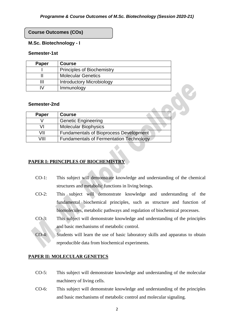#### **Course Outcomes (COs)**

#### **M.Sc. Biotechnology - I**

#### **Semester-1st**

| Paper | <b>Course</b>                     |
|-------|-----------------------------------|
|       | <b>Principles of Biochemistry</b> |
|       | <b>Molecular Genetics</b>         |
| Ш     | <b>Introductory Microbiology</b>  |
| M     | Immunology                        |

#### **Semester-2nd**

| Paper | <b>Course</b>                                  |
|-------|------------------------------------------------|
|       | <b>Genetic Engineering</b>                     |
| VI    | <b>Molecular Biophysics</b>                    |
| VII   | <b>Fundamentals of Bioprocess Development</b>  |
| VIII  | <b>Fundamentals of Fermentation Technology</b> |

#### **PAPER I: PRINCIPLES OF BIOCHEMISTRY**

- CO-1: This subject will demonstrate knowledge and understanding of the chemical structures and metabolic functions in living beings.
- CO-2: This subject will demonstrate knowledge and understanding of the fundamental biochemical principles, such as structure and function of biomolecules, metabolic pathways and regulation of biochemical processes.
- CO-3: This subject will demonstrate knowledge and understanding of the principles and basic mechanisms of metabolic control.
- CO-4: Students will learn the use of basic laboratory skills and apparatus to obtain reproducible data from biochemical experiments.

#### **PAPER II: MOLECULAR GENETICS**

- CO-5: This subject will demonstrate knowledge and understanding of the molecular machinery of living cells.
- CO-6: This subject will demonstrate knowledge and understanding of the principles and basic mechanisms of metabolic control and molecular signaling.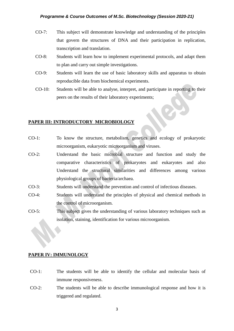- CO-7: This subject will demonstrate knowledge and understanding of the principles that govern the structures of DNA and their participation in replication, transcription and translation.
- CO-8: Students will learn how to implement experimental protocols, and adapt them to plan and carry out simple investigations.
- CO-9: Students will learn the use of basic laboratory skills and apparatus to obtain reproducible data from biochemical experiments.
- CO-10: Students will be able to analyse, interpret, and participate in reporting to their peers on the results of their laboratory experiments;

#### **PAPER III: INTRODUCTORY MICROBIOLOGY**

- CO-1: To know the structure, metabolism, genetics and ecology of prokaryotic microorganism, eukaryotic microorganism and viruses.
- CO-2: Understand the basic microbial structure and function and study the comparative characteristics of prokaryotes and eukaryotes and also Understand the structural similarities and differences among various physiological groups of bacteria/archaea.
- CO-3: Students will understand the prevention and control of infectious diseases.
- CO-4: Students will understand the principles of physical and chemical methods in the control of microorganism.
- CO-5: This subject gives the understanding of various laboratory techniques such as isolation, staining, identification for various microorganism.

#### **PAPER IV: IMMUNOLOGY**

- CO-1: The students will be able to identify the cellular and molecular basis of immune responsiveness.
- CO-2: The students will be able to describe immunological response and how it is triggered and regulated.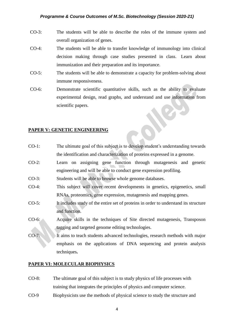- CO-3: The students will be able to describe the roles of the immune system and overall organization of genes.
- CO-4: The students will be able to transfer knowledge of immunology into clinical decision making through case studies presented in class. Learn about immunization and their preparation and its importance.
- CO-5: The students will be able to demonstrate a capacity for problem-solving about immune responsiveness.
- CO-6: Demonstrate scientific quantitative skills, such as the ability to evaluate experimental design, read graphs, and understand and use information from scientific papers.

#### **PAPER V: GENETIC ENGINEERING**

- CO-1: The ultimate goal of this subject is to develop student's understanding towards the identification and characterization of proteins expressed in a genome.
- CO-2: Learn on assigning gene function through mutagenesis and genetic engineering and will be able to conduct gene expression profiling.
- CO-3: Students will be able to browse whole genome databases.
- CO-4: This subject will cover recent developments in genetics, epigenetics, small RNAs, proteomics, gene expression, mutagenesis and mapping genes.
- CO-5: It includes study of the entire set of proteins in order to understand its structure and function.
- CO-6: Acquire skills in the techniques of Site directed mutagenesis, Transposon tagging and targeted genome editing technologies.
- CO-7: It aims to teach students advanced technologies, research methods with major emphasis on the applications of DNA sequencing and protein analysis techniques**.**

#### **PAPER VI: MOLECULAR BIOPHYSICS**

- CO-8: The ultimate goal of this subject is to study physics of life processes with training that integrates the principles of physics and computer science.
- CO-9 Biophysicists use the methods of physical science to study the structure and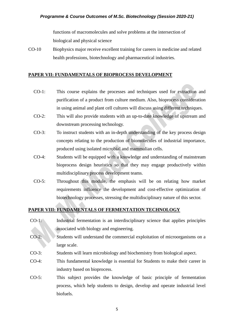functions of macromolecules and solve problems at the intersection of biological and physical science

CO-10 Biophysics major receive excellent training for careers in medicine and related health professions, biotechnology and pharmaceutical industries.

#### **PAPER VII: FUNDAMENTALS OF BIOPROCESS DEVELOPMENT**

- CO-1: This course explains the processes and techniques used for extraction and purification of a product from culture medium. Also, bioprocess consideration in using animal and plant cell cultures will discuss using different techniques.
- CO-2: This will also provide students with an up-to-date knowledge of upstream and downstream processing technology.
- CO-3: To instruct students with an in-depth understanding of the key process design concepts relating to the production of biomolecules of industrial importance, produced using isolated microbial and mammalian cells.
- CO-4: Students will be equipped with a knowledge and understanding of mainstream bioprocess design heuristics so that they may engage productively within multidisciplinary process development teams.
- CO-5: Throughout this module, the emphasis will be on relating how market requirements influence the development and cost-effective optimization of biotechnology processes, stressing the multidisciplinary nature of this sector.

#### **PAPER VIII: FUNDAMENTALS OF FERMENTATION TECHNOLOGY**

- CO-1: Industrial fermentation is an interdisciplinary science that applies principles associated with biology and engineering.
- CO-2: Students will understand the commercial exploitation of microorganisms on a large scale.
- CO-3: Students will learn microbiology and biochemistry from biological aspect.
- CO-4: This fundamental knowledge is essential for Students to make their career in industry based on bioprocess.
- CO-5: This subject provides the knowledge of basic principle of fermentation process, which help students to design, develop and operate industrial level biofuels.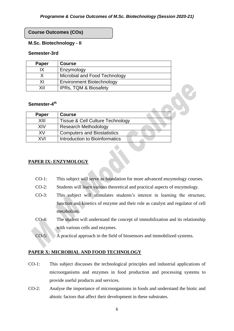#### **Course Outcomes (COs)**

#### **M.Sc. Biotechnology - II**

#### **Semester-3rd**

| Paper | <b>Course</b>                    |
|-------|----------------------------------|
| ΙX    | Enzymology                       |
|       | Microbial and Food Technology    |
| ΧI    | <b>Environment Biotechnology</b> |
| XII   | <b>IPRs, TQM &amp; Biosafety</b> |

#### **Semester-4 th**

| Paper | <b>Course</b>                               |
|-------|---------------------------------------------|
| XIII  | <b>Tissue &amp; Cell Culture Technology</b> |
| XIV   | <b>Research Methodology</b>                 |
| X٧    | <b>Computers and Biostatistics</b>          |
| XVI   | Introduction to Bioinformatics              |

#### **PAPER IX: ENZYMOLOGY**

- CO-1: This subject will serve as foundation for more advanced enzymology courses.
- CO-2: Students will learn various theoretical and practical aspects of enzymology.
- CO-3: This subject will stimulates students's interest in learning the structure, function and kinetics of enzyme and their role as catalyst and regulator of cell metabolism.
- CO-4: The student will understand the concept of immobilization and its relationship with various cells and enzymes.
- CO-5: A practical approach in the field of biosensors and immobilized systems.

#### **PAPER X: MICROBIAL AND FOOD TECHNOLOGY**

- CO-1: This subject discusses the technological principles and industrial applications of microorganisms and enzymes in food production and processing systems to provide useful products and services.
- CO-2: Analyse the importance of microorganisms in foods and understand the biotic and abiotic factors that affect their development in these substrates.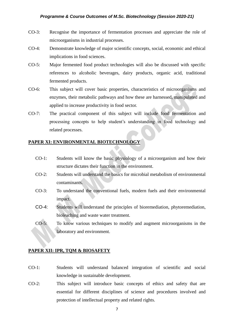- CO-3: Recognise the importance of fermentation processes and appreciate the role of microorganisms in industrial processes.
- CO-4: Demonstrate knowledge of major scientific concepts, social, economic and ethical implications in food sciences.
- CO-5: Major fermented food product technologies will also be discussed with specific references to alcoholic beverages, dairy products, organic acid, traditional fermented products.
- CO-6: This subject will cover basic properties, characteristics of microorganisms and enzymes, their metabolic pathways and how these are harnessed, manipulated and applied to increase productivity in food sector.
- CO-7: The practical component of this subject will include food fermentation and processing concepts to help student's understanding in food technology and related processes.

#### **PAPER XI: ENVIRONMENTAL BIOTECHNOLOGY**

- CO-1: Students will know the basic physiology of a microorganism and how their structure dictates their function in the environment.
- CO-2: Students will understand the basics for microbial metabolism of environmental contaminants.
- CO-3: To understand the conventional fuels, modern fuels and their environmental impact.
- CO-4: Students will understand the principles of bioremediation, phytoremediation, bioleaching and waste water treatment.
- CO-5: To know various techniques to modify and augment microorganisms in the laboratory and environment.

#### **PAPER XII: IPR, TQM & BIOSAFETY**

- CO-1: Students will understand balanced integration of scientific and social knowledge in sustainable development.
- CO-2: This subject will introduce basic concepts of ethics and safety that are essential for different disciplines of science and procedures involved and protection of intellectual property and related rights.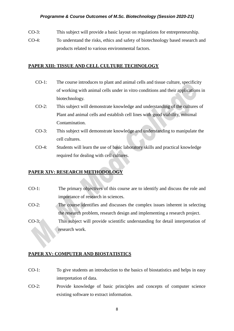- CO-3: This subject will provide a basic layout on regulations for entrepreneurship.
- CO-4: To understand the risks, ethics and safety of biotechnology based research and products related to various environmental factors.

#### **PAPER XIII: TISSUE AND CELL CULTURE TECHNOLOGY**

- CO-1: The course introduces to plant and animal cells and tissue culture, specificity of working with animal cells under in vitro conditions and their applications in biotechnology.
- CO-2: This subject will demonstrate knowledge and understanding of the cultures of Plant and animal cells and establish cell lines with good viability, minimal Contamination.
- CO-3: This subject will demonstrate knowledge and understanding to manipulate the cell cultures.
- CO-4: Students will learn the use of basic laboratory skills and practical knowledge required for dealing with cell cultures.

#### **PAPER XIV: RESEARCH METHODOLOGY**

- CO-1: The primary objectives of this course are to identify and discuss the role and importance of research in sciences.
- CO-2: The course identifies and discusses the complex issues inherent in selecting the research problem, research design and implementing a research project.
- CO-3: This subject will provide scientific understanding for detail interpretation of research work.

#### **PAPER XV: COMPUTER AND BIOSTATISTICS**

- CO-1: To give students an introduction to the basics of biostatistics and helps in easy interpretation of data.
- CO-2: Provide knowledge of basic principles and concepts of computer science existing software to extract information.